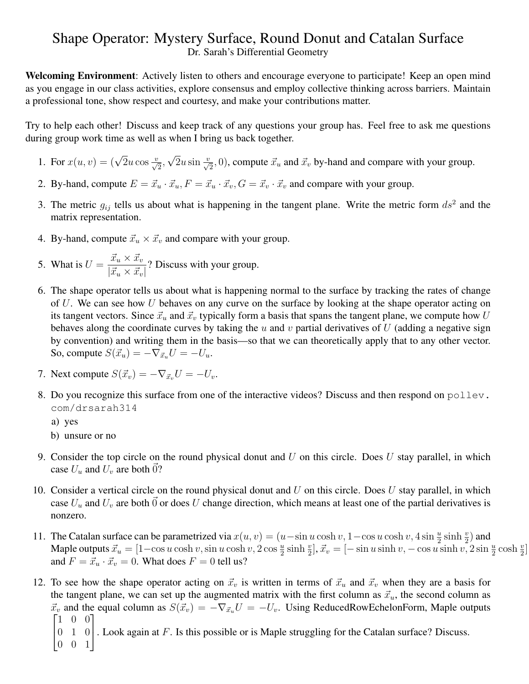## Shape Operator: Mystery Surface, Round Donut and Catalan Surface Dr. Sarah's Differential Geometry

Welcoming Environment: Actively listen to others and encourage everyone to participate! Keep an open mind as you engage in our class activities, explore consensus and employ collective thinking across barriers. Maintain a professional tone, show respect and courtesy, and make your contributions matter.

Try to help each other! Discuss and keep track of any questions your group has. Feel free to ask me questions during group work time as well as when I bring us back together.

- 1. For  $x(u, v) = (\sqrt{2}u \cos \frac{v}{\sqrt{2}},$ √  $\overline{2}u\sin\frac{v}{\sqrt{2}}$ , 0), compute  $\vec{x}_u$  and  $\vec{x}_v$  by-hand and compare with your group.
- 2. By-hand, compute  $E = \vec{x}_u \cdot \vec{x}_u$ ,  $F = \vec{x}_u \cdot \vec{x}_v$ ,  $G = \vec{x}_v \cdot \vec{x}_v$  and compare with your group.
- 3. The metric  $g_{ij}$  tells us about what is happening in the tangent plane. Write the metric form  $ds^2$  and the matrix representation.
- 4. By-hand, compute  $\vec{x}_u \times \vec{x}_v$  and compare with your group.
- 5. What is  $U = \frac{\vec{x}_u \times \vec{x}_v}{\sqrt{2\pi}}$  $\frac{w_u \wedge w_v}{|\vec{x}_u \times \vec{x}_v|}$ ? Discuss with your group.
- 6. The shape operator tells us about what is happening normal to the surface by tracking the rates of change of  $U$ . We can see how  $U$  behaves on any curve on the surface by looking at the shape operator acting on its tangent vectors. Since  $\vec{x}_u$  and  $\vec{x}_v$  typically form a basis that spans the tangent plane, we compute how U behaves along the coordinate curves by taking the  $u$  and  $v$  partial derivatives of  $U$  (adding a negative sign by convention) and writing them in the basis—so that we can theoretically apply that to any other vector. So, compute  $S(\vec{x}_u) = -\nabla_{\vec{x}_u} U = -U_u$ .
- 7. Next compute  $S(\vec{x}_v) = -\nabla_{\vec{x}_v}U = -U_v$ .
- 8. Do you recognize this surface from one of the interactive videos? Discuss and then respond on  $p \circ 11 \text{eV}$ . com/drsarah314

a) yes

b) unsure or no

- 9. Consider the top circle on the round physical donut and  $U$  on this circle. Does  $U$  stay parallel, in which case  $U_u$  and  $U_v$  are both 0?
- 10. Consider a vertical circle on the round physical donut and  $U$  on this circle. Does  $U$  stay parallel, in which case  $U_u$  and  $U_v$  are both  $\vec{0}$  or does U change direction, which means at least one of the partial derivatives is nonzero.
- 11. The Catalan surface can be parametrized via  $x(u, v) = (u \sin u \cosh v, 1 \cos u \cosh v, 4 \sin \frac{u}{2} \sinh \frac{v}{2})$  and Maple outputs  $\vec{x}_u = [1-\cos u \cosh v, \sin u \cosh v, 2 \cos \frac{u}{2} \sinh \frac{v}{2}], \vec{x}_v = [-\sin u \sinh v, -\cos u \sinh v, 2 \sin \frac{u}{2} \cosh \frac{v}{2}]$ and  $F = \vec{x}_u \cdot \vec{x}_v = 0$ . What does  $F = 0$  tell us?
- 12. To see how the shape operator acting on  $\vec{x}_v$  is written in terms of  $\vec{x}_u$  and  $\vec{x}_v$  when they are a basis for the tangent plane, we can set up the augmented matrix with the first column as  $\vec{x}_u$ , the second column as  $\vec{x}_v$  and the equal column as  $S(\vec{x}_v) = -\nabla_{\vec{x}_u} U = -U_v$ . Using ReducedRowEchelonForm, Maple outputs  $\begin{bmatrix} 1 & 0 & 0 \end{bmatrix}$ 
	- $\begin{bmatrix} 0 & 1 & 0 \\ 0 & 0 & 1 \end{bmatrix}$ . Look again at F. Is this possible or is Maple struggling for the Catalan surface? Discuss.
	- 0 0 1